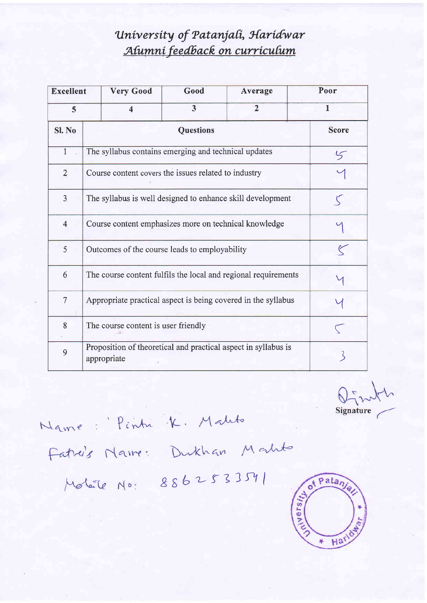## University of Patanjali, Haridwar Alumní feedback on curriculum

| <b>Excellent</b> | <b>Very Good</b>                                                              | Good                    | Average        | Poor |  |
|------------------|-------------------------------------------------------------------------------|-------------------------|----------------|------|--|
| 5                | 4                                                                             | $\overline{\mathbf{3}}$ | $\overline{2}$ | 1    |  |
| Sl. No           |                                                                               | <b>Score</b>            |                |      |  |
| $\mathbf{1}$     | The syllabus contains emerging and technical updates<br>5                     |                         |                |      |  |
| $\overline{2}$   | Course content covers the issues related to industry                          |                         |                |      |  |
| $\overline{3}$   | The syllabus is well designed to enhance skill development                    |                         |                |      |  |
| $\overline{4}$   | Course content emphasizes more on technical knowledge                         |                         |                |      |  |
| 5                | Outcomes of the course leads to employability                                 |                         |                |      |  |
| 6                | The course content fulfils the local and regional requirements                |                         |                |      |  |
| $\overline{7}$   | Appropriate practical aspect is being covered in the syllabus                 |                         |                |      |  |
| 8                | The course content is user friendly                                           |                         |                |      |  |
| 9                | Proposition of theoretical and practical aspect in syllabus is<br>appropriate |                         |                |      |  |

 $\mathbb{Q}$ Signature

Name: Pintu K. Malito

Fatris Name: Dukhan Matte

Moléle No: 8862533541

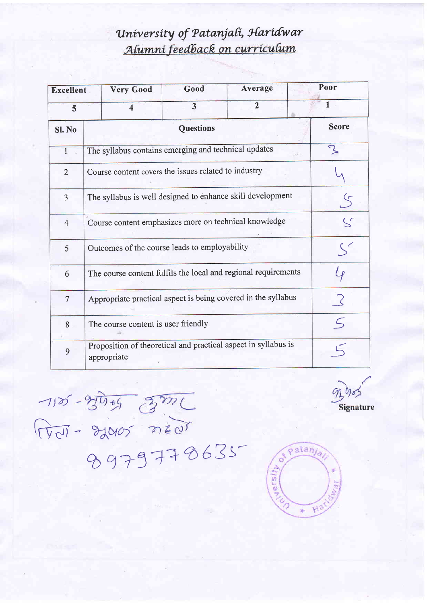## University of Patanjali, Haridwar Alumní feedback on curriculum

| <b>Excellent</b> |                                                                                                                   | <b>Very Good</b>                                     | Good                    | Average        | Poor         |  |
|------------------|-------------------------------------------------------------------------------------------------------------------|------------------------------------------------------|-------------------------|----------------|--------------|--|
| 5                |                                                                                                                   | $\overline{\mathbf{A}}$                              | $\overline{\mathbf{3}}$ | $\overline{2}$ |              |  |
| Sl. No           | <b>Questions</b>                                                                                                  |                                                      |                         |                | <b>Score</b> |  |
| $\mathbf{1}$     | $\mathcal{S}% _{M_{1},M_{2}}^{\alpha,\beta}(\varepsilon)$<br>The syllabus contains emerging and technical updates |                                                      |                         |                |              |  |
| $\overline{2}$   |                                                                                                                   | Course content covers the issues related to industry |                         |                |              |  |
| $\overline{3}$   | The syllabus is well designed to enhance skill development<br>$\mathcal{S}$                                       |                                                      |                         |                |              |  |
| $\overline{4}$   | $\mathcal{S}$<br>Course content emphasizes more on technical knowledge                                            |                                                      |                         |                |              |  |
| 5                | Outcomes of the course leads to employability                                                                     |                                                      |                         |                |              |  |
| 6                | The course content fulfils the local and regional requirements                                                    |                                                      |                         |                |              |  |
| $\overline{7}$   | Appropriate practical aspect is being covered in the syllabus                                                     |                                                      |                         |                |              |  |
| 8                | The course content is user friendly                                                                               |                                                      |                         |                |              |  |
| 9                | Proposition of theoretical and practical aspect in syllabus is<br>appropriate                                     |                                                      |                         |                |              |  |

 $92905$ Signature

 $-1125 - 270 - 570$ <br>
Troll - 22005 near

 $\widehat{\mathsf{patan}_q}$  $\circ$  $J$ ersity

ý.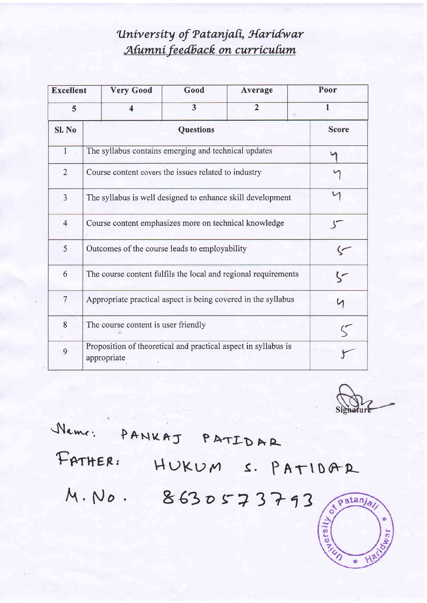## University of Patanjali, Haridwar Alumní feedback on curriculum

| <b>Excellent</b> | <b>Very Good</b>                                                              | Good                    | Average        | Poor |  |
|------------------|-------------------------------------------------------------------------------|-------------------------|----------------|------|--|
| 5                | $\overline{\mathbf{4}}$                                                       | $\overline{\mathbf{3}}$ | $\overline{2}$ |      |  |
| Sl. No           |                                                                               | <b>Score</b>            |                |      |  |
| $\mathbf{1}$     | The syllabus contains emerging and technical updates                          |                         |                |      |  |
| $\overline{2}$   | Course content covers the issues related to industry                          |                         |                |      |  |
| $\overline{3}$   | The syllabus is well designed to enhance skill development                    |                         |                |      |  |
| $\overline{4}$   | Course content emphasizes more on technical knowledge                         |                         |                |      |  |
| 5                | Outcomes of the course leads to employability                                 |                         |                |      |  |
| 6                | The course content fulfils the local and regional requirements                |                         |                |      |  |
| $\overline{7}$   | Appropriate practical aspect is being covered in the syllabus                 |                         |                |      |  |
| 8                | The course content is user friendly                                           |                         |                |      |  |
| 9                | Proposition of theoretical and practical aspect in syllabus is<br>appropriate |                         |                |      |  |

 $\mathcal{A}$ 琳

Neme: PANKAJ PATIDAR FATHER: HUKUM S. PATIDAR M. No. 8630573793 of Patanja Visier